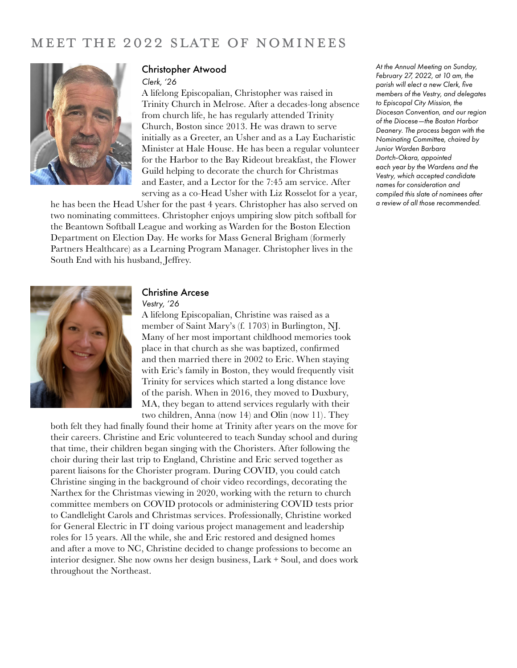# MEET THE 2022 SLATE OF NOMINEES



#### Christopher Atwood

#### *Clerk, '26*

A lifelong Episcopalian, Christopher was raised in Trinity Church in Melrose. After a decades-long absence from church life, he has regularly attended Trinity Church, Boston since 2013. He was drawn to serve initially as a Greeter, an Usher and as a Lay Eucharistic Minister at Hale House. He has been a regular volunteer for the Harbor to the Bay Rideout breakfast, the Flower Guild helping to decorate the church for Christmas and Easter, and a Lector for the 7:45 am service. After serving as a co-Head Usher with Liz Rosselot for a year,

he has been the Head Usher for the past 4 years. Christopher has also served on two nominating committees. Christopher enjoys umpiring slow pitch softball for the Beantown Softball League and working as Warden for the Boston Election Department on Election Day. He works for Mass General Brigham (formerly Partners Healthcare) as a Learning Program Manager. Christopher lives in the South End with his husband, Jeffrey.

*At the Annual Meeting on Sunday, February 27, 2022, at 10 am, the parish will elect a new Clerk, five members of the Vestry, and delegates to Episcopal City Mission, the Diocesan Convention, and our region of the Diocese—the Boston Harbor Deanery. The process began with the Nominating Committee, chaired by Junior Warden Barbara Dortch-Okara, appointed each year by the Wardens and the Vestry, which accepted candidate names for consideration and compiled this slate of nominees after a review of all those recommended.*



#### Christine Arcese

*Vestry, '26*

A lifelong Episcopalian, Christine was raised as a member of Saint Mary's (f. 1703) in Burlington, NJ. Many of her most important childhood memories took place in that church as she was baptized, confirmed and then married there in 2002 to Eric. When staying with Eric's family in Boston, they would frequently visit Trinity for services which started a long distance love of the parish. When in 2016, they moved to Duxbury, MA, they began to attend services regularly with their two children, Anna (now 14) and Olin (now 11). They

both felt they had finally found their home at Trinity after years on the move for their careers. Christine and Eric volunteered to teach Sunday school and during that time, their children began singing with the Choristers. After following the choir during their last trip to England, Christine and Eric served together as parent liaisons for the Chorister program. During COVID, you could catch Christine singing in the background of choir video recordings, decorating the Narthex for the Christmas viewing in 2020, working with the return to church committee members on COVID protocols or administering COVID tests prior to Candlelight Carols and Christmas services. Professionally, Christine worked for General Electric in IT doing various project management and leadership roles for 15 years. All the while, she and Eric restored and designed homes and after a move to NC, Christine decided to change professions to become an interior designer. She now owns her design business, Lark + Soul, and does work throughout the Northeast.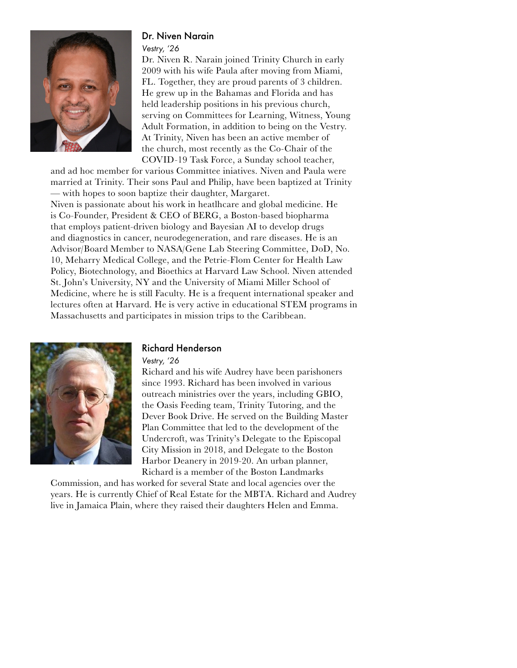

# Dr. Niven Narain

*Vestry, '26*

Dr. Niven R. Narain joined Trinity Church in early 2009 with his wife Paula after moving from Miami, FL. Together, they are proud parents of 3 children. He grew up in the Bahamas and Florida and has held leadership positions in his previous church, serving on Committees for Learning, Witness, Young Adult Formation, in addition to being on the Vestry. At Trinity, Niven has been an active member of the church, most recently as the Co-Chair of the COVID-19 Task Force, a Sunday school teacher,

and ad hoc member for various Committee iniatives. Niven and Paula were married at Trinity. Their sons Paul and Philip, have been baptized at Trinity — with hopes to soon baptize their daughter, Margaret. Niven is passionate about his work in heatlhcare and global medicine. He is Co-Founder, President & CEO of BERG, a Boston-based biopharma that employs patient-driven biology and Bayesian AI to develop drugs and diagnostics in cancer, neurodegeneration, and rare diseases. He is an Advisor/Board Member to NASA/Gene Lab Steering Committee, DoD, No. 10, Meharry Medical College, and the Petrie-Flom Center for Health Law Policy, Biotechnology, and Bioethics at Harvard Law School. Niven attended St. John's University, NY and the University of Miami Miller School of Medicine, where he is still Faculty. He is a frequent international speaker and lectures often at Harvard. He is very active in educational STEM programs in Massachusetts and participates in mission trips to the Caribbean.



# Richard Henderson

*Vestry, '26*

Richard and his wife Audrey have been parishoners since 1993. Richard has been involved in various outreach ministries over the years, including GBIO, the Oasis Feeding team, Trinity Tutoring, and the Dever Book Drive. He served on the Building Master Plan Committee that led to the development of the Undercroft, was Trinity's Delegate to the Episcopal City Mission in 2018, and Delegate to the Boston Harbor Deanery in 2019-20. An urban planner, Richard is a member of the Boston Landmarks

Commission, and has worked for several State and local agencies over the years. He is currently Chief of Real Estate for the MBTA. Richard and Audrey live in Jamaica Plain, where they raised their daughters Helen and Emma.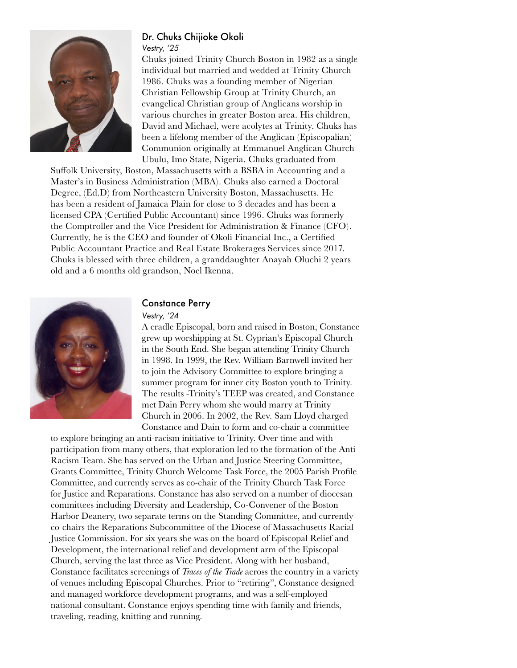

#### Dr. Chuks Chijioke Okoli *Vestry, '25*

Chuks joined Trinity Church Boston in 1982 as a single individual but married and wedded at Trinity Church 1986. Chuks was a founding member of Nigerian Christian Fellowship Group at Trinity Church, an evangelical Christian group of Anglicans worship in various churches in greater Boston area. His children, David and Michael, were acolytes at Trinity. Chuks has been a lifelong member of the Anglican (Episcopalian) Communion originally at Emmanuel Anglican Church Ubulu, Imo State, Nigeria. Chuks graduated from

Suffolk University, Boston, Massachusetts with a BSBA in Accounting and a Master's in Business Administration (MBA). Chuks also earned a Doctoral Degree, (Ed.D) from Northeastern University Boston, Massachusetts. He has been a resident of Jamaica Plain for close to 3 decades and has been a licensed CPA (Certified Public Accountant) since 1996. Chuks was formerly the Comptroller and the Vice President for Administration & Finance (CFO). Currently, he is the CEO and founder of Okoli Financial Inc., a Certified Public Accountant Practice and Real Estate Brokerages Services since 2017. Chuks is blessed with three children, a granddaughter Anayah Oluchi 2 years old and a 6 months old grandson, Noel Ikenna.



### Constance Perry

#### *Vestry, '24*

A cradle Episcopal, born and raised in Boston, Constance grew up worshipping at St. Cyprian's Episcopal Church in the South End. She began attending Trinity Church in 1998. In 1999, the Rev. William Barnwell invited her to join the Advisory Committee to explore bringing a summer program for inner city Boston youth to Trinity. The results -Trinity's TEEP was created, and Constance met Dain Perry whom she would marry at Trinity Church in 2006. In 2002, the Rev. Sam Lloyd charged Constance and Dain to form and co-chair a committee

to explore bringing an anti-racism initiative to Trinity. Over time and with participation from many others, that exploration led to the formation of the Anti-Racism Team. She has served on the Urban and Justice Steering Committee, Grants Committee, Trinity Church Welcome Task Force, the 2005 Parish Profile Committee, and currently serves as co-chair of the Trinity Church Task Force for Justice and Reparations. Constance has also served on a number of diocesan committees including Diversity and Leadership, Co-Convener of the Boston Harbor Deanery, two separate terms on the Standing Committee, and currently co-chairs the Reparations Subcommittee of the Diocese of Massachusetts Racial Justice Commission. For six years she was on the board of Episcopal Relief and Development, the international relief and development arm of the Episcopal Church, serving the last three as Vice President. Along with her husband, Constance facilitates screenings of *Traces of the Trade* across the country in a variety of venues including Episcopal Churches. Prior to "retiring", Constance designed and managed workforce development programs, and was a self-employed national consultant. Constance enjoys spending time with family and friends, traveling, reading, knitting and running.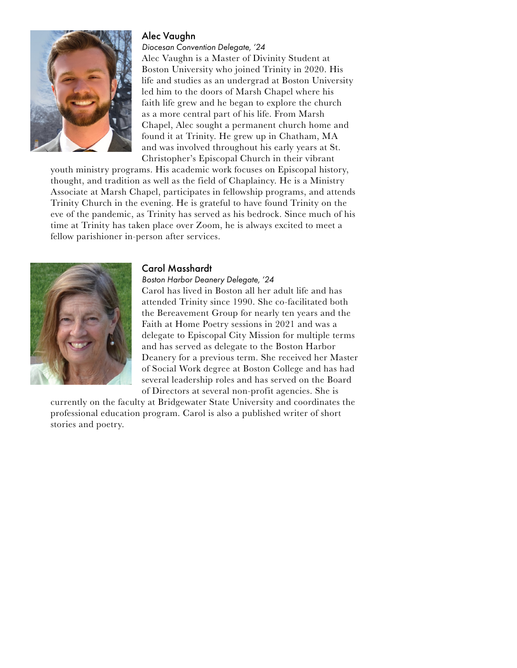# Alec Vaughn



*Diocesan Convention Delegate, '24* Alec Vaughn is a Master of Divinity Student at Boston University who joined Trinity in 2020. His life and studies as an undergrad at Boston University led him to the doors of Marsh Chapel where his faith life grew and he began to explore the church as a more central part of his life. From Marsh Chapel, Alec sought a permanent church home and found it at Trinity. He grew up in Chatham, MA and was involved throughout his early years at St. Christopher's Episcopal Church in their vibrant

youth ministry programs. His academic work focuses on Episcopal history, thought, and tradition as well as the field of Chaplaincy. He is a Ministry Associate at Marsh Chapel, participates in fellowship programs, and attends Trinity Church in the evening. He is grateful to have found Trinity on the eve of the pandemic, as Trinity has served as his bedrock. Since much of his time at Trinity has taken place over Zoom, he is always excited to meet a fellow parishioner in-person after services.



### Carol Masshardt

*Boston Harbor Deanery Delegate, '24*

Carol has lived in Boston all her adult life and has attended Trinity since 1990. She co-facilitated both the Bereavement Group for nearly ten years and the Faith at Home Poetry sessions in 2021 and was a delegate to Episcopal City Mission for multiple terms and has served as delegate to the Boston Harbor Deanery for a previous term. She received her Master of Social Work degree at Boston College and has had several leadership roles and has served on the Board of Directors at several non-profit agencies. She is

currently on the faculty at Bridgewater State University and coordinates the professional education program. Carol is also a published writer of short stories and poetry.